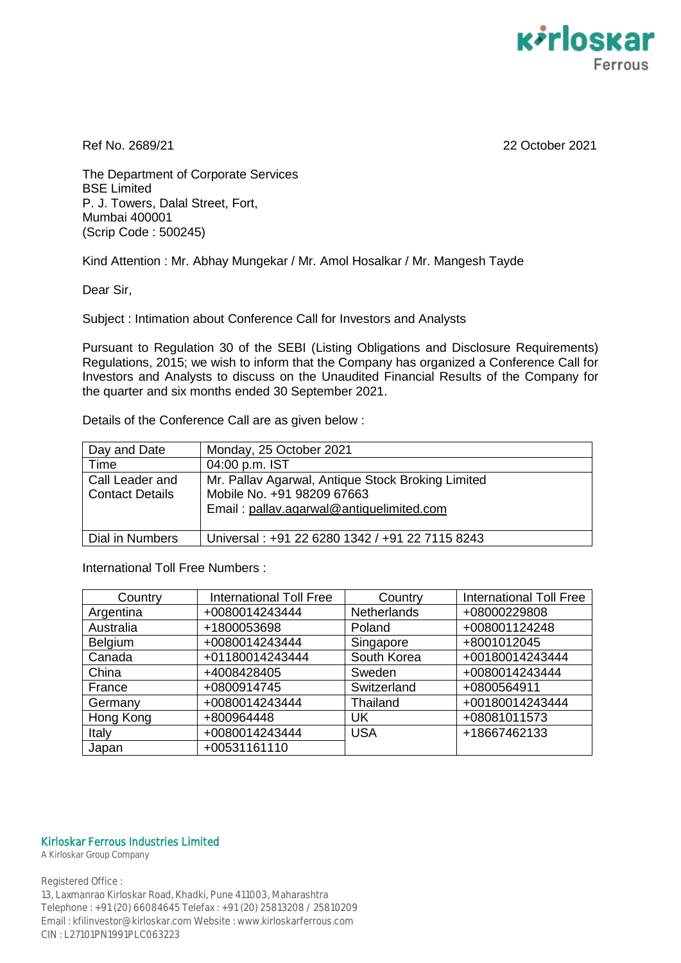

Ref No. 2689/21 22 October 2021

The Department of Corporate Services BSE Limited P. J. Towers, Dalal Street, Fort, Mumbai 400001 (Scrip Code : 500245)

Kind Attention : Mr. Abhay Mungekar / Mr. Amol Hosalkar / Mr. Mangesh Tayde

Dear Sir,

Subject : Intimation about Conference Call for Investors and Analysts

Pursuant to Regulation 30 of the SEBI (Listing Obligations and Disclosure Requirements) Regulations, 2015; we wish to inform that the Company has organized a Conference Call for Investors and Analysts to discuss on the Unaudited Financial Results of the Company for the quarter and six months ended 30 September 2021.

Details of the Conference Call are as given below :

| Day and Date                              | Monday, 25 October 2021                                                                                                     |
|-------------------------------------------|-----------------------------------------------------------------------------------------------------------------------------|
| Time                                      | 04:00 p.m. IST                                                                                                              |
| Call Leader and<br><b>Contact Details</b> | Mr. Pallav Agarwal, Antique Stock Broking Limited<br>Mobile No. +91 98209 67663<br>Email: pallav.agarwal@antiquelimited.com |
| Dial in Numbers                           | Universal: +91 22 6280 1342 / +91 22 7115 8243                                                                              |

International Toll Free Numbers :

| Country   | <b>International Toll Free</b> | Country     | <b>International Toll Free</b> |
|-----------|--------------------------------|-------------|--------------------------------|
| Argentina | +0080014243444                 | Netherlands | +08000229808                   |
| Australia | +1800053698                    | Poland      | +008001124248                  |
| Belgium   | +0080014243444                 | Singapore   | +8001012045                    |
| Canada    | +01180014243444                | South Korea | +00180014243444                |
| China     | +4008428405                    | Sweden      | +0080014243444                 |
| France    | +0800914745                    | Switzerland | +0800564911                    |
| Germany   | +0080014243444                 | Thailand    | +00180014243444                |
| Hong Kong | +800964448                     | <b>UK</b>   | +08081011573                   |
| Italy     | +0080014243444                 | <b>USA</b>  | +18667462133                   |
| Japan     | +00531161110                   |             |                                |

## Kirloskar Ferrous Industries Limited

A Kirloskar Group Company

Registered Office : 13, Laxmanrao Kirloskar Road, Khadki, Pune 411003, Maharashtra Telephone : +91 (20) 66084645 Telefax : +91 (20) 25813208 / 25810209 Email : kfilinvestor@kirloskar.com Website : www.kirloskarferrous.com CIN : L27101PN1991PLC063223